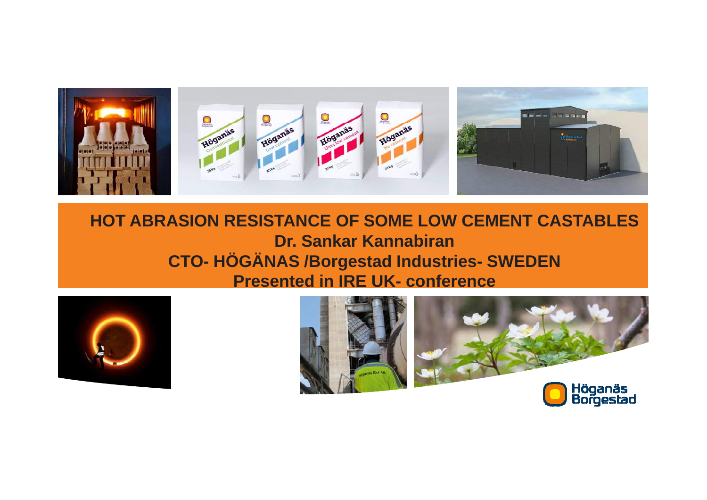

#### **HOT ABRASION RESISTANCE OF SOME LOW CEMENT CASTABLESDr. Sankar Kannabiran CTO- HÖGÄNAS /Borgestad Industries- SWEDENPresented in IRE UK- conference**





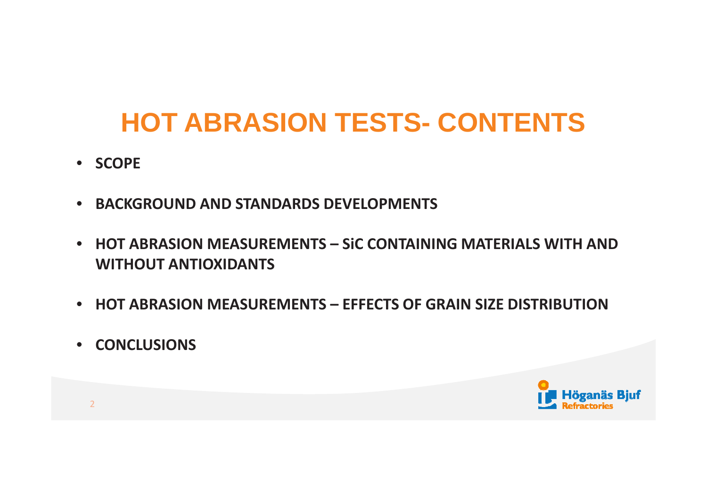# **HOT ABRASION TESTS- CONTENTS**

- **SCOPE**
- **BACKGROUND AND STANDARDS DEVELOPMENTS**
- **HOT ABRASION MEASUREMENTS – SiC CONTAINING MATERIALS WITH AND WITHOUT ANTIOXIDANTS**
- **HOT ABRASION MEASUREMENTS – EFFECTS OF GRAIN SIZE DISTRIBUTION**
- **CONCLUSIONS**

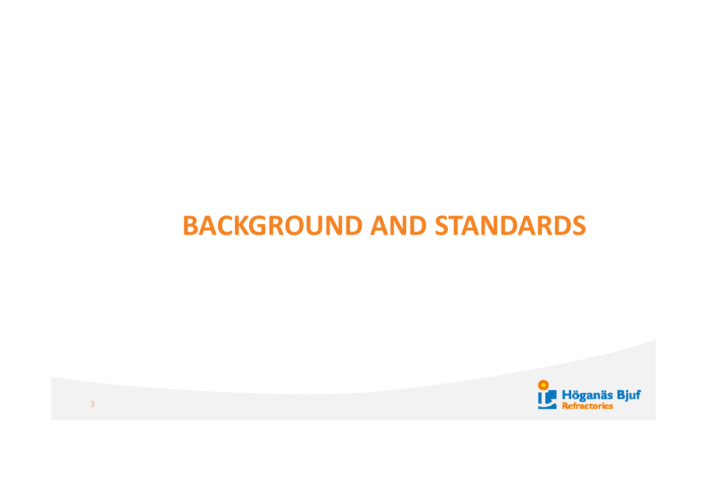## **BACKGROUND AND STANDARDS**

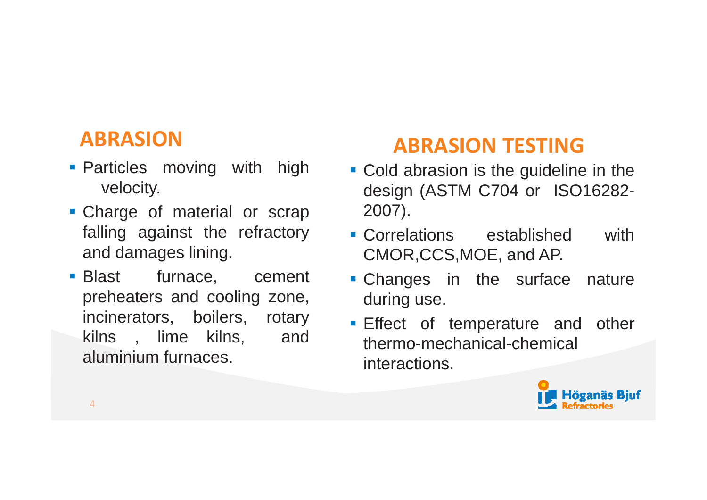### **ABRASION**

- **Particles moving with high** velocity.
- Charge of material or scrap falling against the refractoryand damages lining.
- $\blacksquare$  Blast furnace, cement preheaters and cooling zone, incinerators, boilers, rotaryand kilns , lime kilns, aluminium furnaces.

### **ABRASION TESTING**

- **Cold abrasion is the guideline in the** design (ASTM C704 or ISO16282-<br>2007) 2007).
- **Correlations** established with CMOR,CCS,MOE, and AP.
- Changes in the surface natureduring use.
- **Effect of temperature and other** thermo-mechanical-chemicalinteractions.

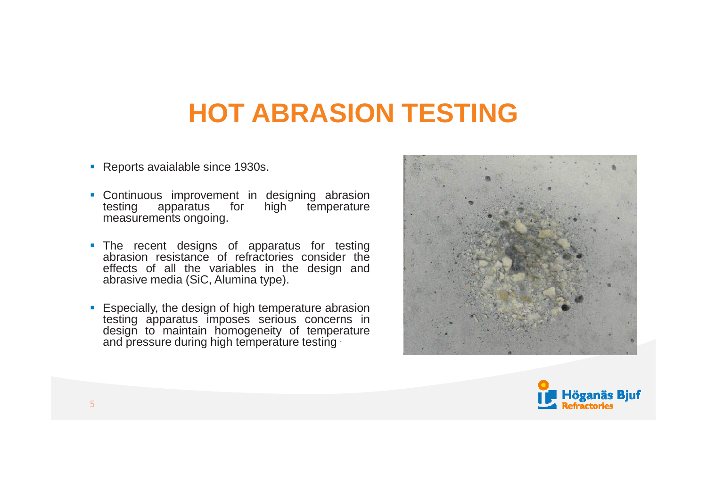# **HOT ABRASION TESTING**

- **Reports avaialable since 1930s.**
- **Continuous improvement in designing abrasion**<br>
in the line high temperature testing apparatus for measurements ongoing.
- The recent designs of apparatus for testing abrasion resistance of refractories consider the effects of all the variables in the design andabrasive media (SiC, Alumina type).
- Especially, the design of high temperature abrasion testing apparatus imposes serious concerns in design to maintain homogeneity of temperatureand pressure during high temperature testing  $\cdot$



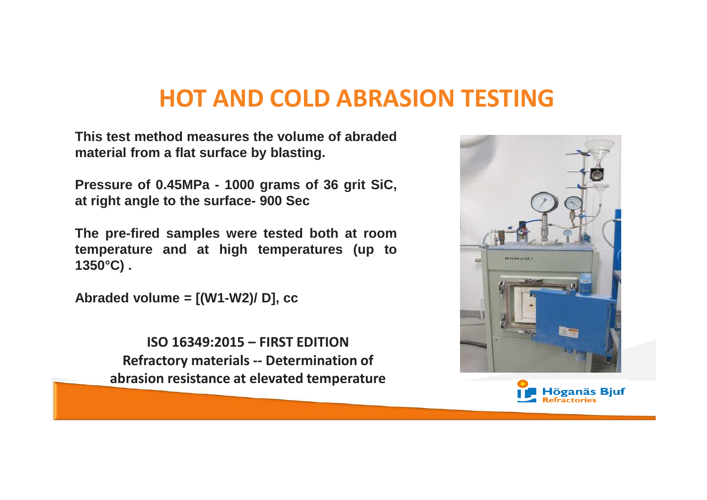## **HOT AND COLD ABRASION TESTING**

**This test method measures the volume of abradedmaterial from <sup>a</sup> flat surface by blasting.**

**Pressure of 0.45MPa - 1000 grams of 36 grit SiC, at right angle to the surface- 900 Sec**

**The pre-fired samples were tested both at room temperature and at high temperatures (up to1350°C) .**

**Abraded volume <sup>=</sup> [(W1-W2)/ D], cc**

**ISO 16349:2015 – FIRST EDITION Refractory materials -- Determination of abrasion resistance at elevated temperature**



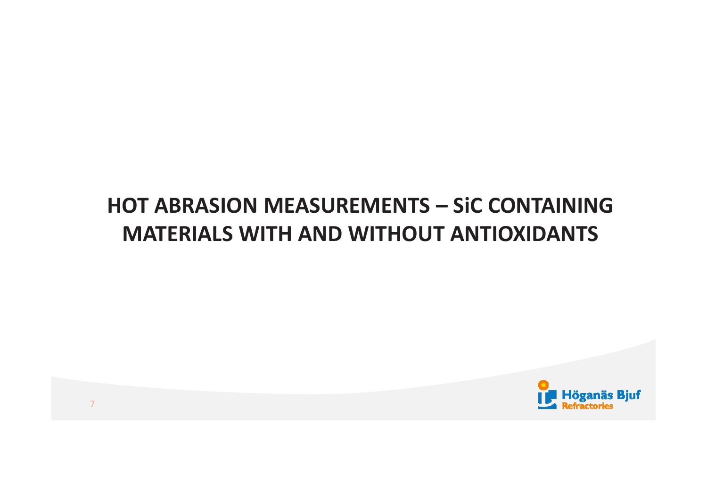## **HOT ABRASION MEASUREMENTS – SiC CONTAINING MATERIALS WITH AND WITHOUT ANTIOXIDANTS**

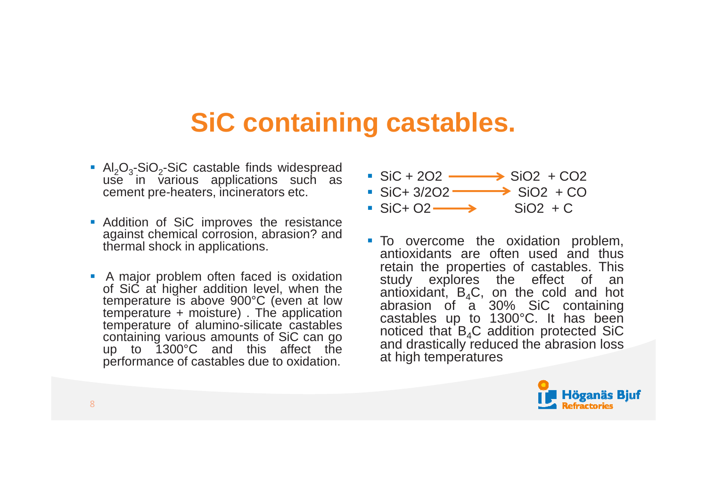## **SiC containing castables.**

- Al<sub>2</sub>O<sub>3</sub>-SiO<sub>2</sub>-SiC castable finds widespread use in various applications such ascement pre-heaters, incinerators etc.
- Addition of SiC improves the resistance against chemical corrosion, abrasion? andthermal shock in applications.
- <sup>A</sup> major problem often faced is oxidation of SiC at higher addition level, when the temperature is above 900°C (even at low temperature <sup>+</sup> moisture) . The application temperature of alumino-silicate castables containing various amounts of SiC can go up to 1300°C and this affect theperformance of castables due to oxidation.
- $\cdot$  SiC + 2O2  $\longrightarrow$  SiO2 + CO2
- $\cdot$  SiC+ 3/2O2  $\longrightarrow$  SiO2 + CO
- $\cdot$  SiC+ O2  $\longrightarrow$  SiO2 + C
- To overcome the oxidation problem, antioxidants are often used and thus retain the properties of castables. This study explores the effect of anantioxidant,  $B_4C$ , on the cold and ho antioxidant, B<sub>4</sub>C, on the cold and hot<br>abrasion of a 30% SiC containing castables up to 1300°C. It has beennoticed that  $B_4C$  addition protected SiC and drastically reduced the abrasion lossat high temperatures

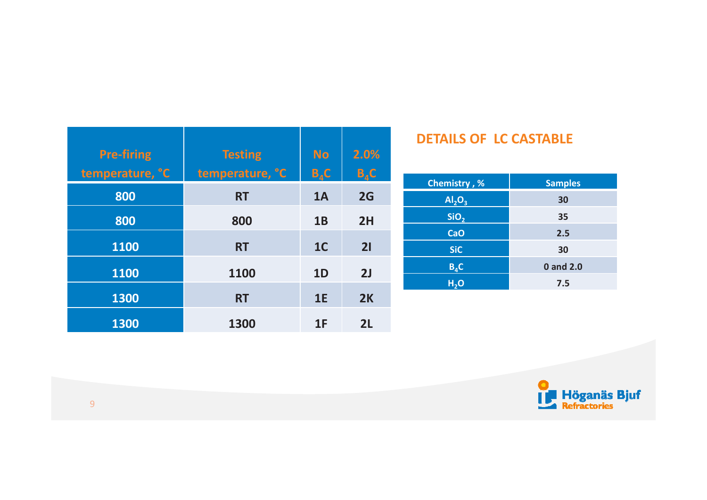| <b>Pre-firing</b><br>temperature, °C | <b>Testing</b><br>temperature, °C | <b>No</b><br>$B_{4}C$ | 2.0%<br>$B_{A}C$ |
|--------------------------------------|-----------------------------------|-----------------------|------------------|
| 800                                  | <b>RT</b>                         | 1A                    | 2G               |
| 800                                  | 800                               | 1B                    | 2H               |
| 1100                                 | <b>RT</b>                         | 1 <sub>C</sub>        | 21               |
| 1100                                 | 1100                              | 1D                    | 2J               |
| 1300                                 | <b>RT</b>                         | 1E                    | 2K               |
| 1300                                 | 1300                              | 1F                    | 2L               |

#### **DETAILS OF LC CASTABLE**

| <b>Chemistry</b> , %           | <b>Samples</b> |
|--------------------------------|----------------|
| Al <sub>2</sub> O <sub>3</sub> | 30             |
| SiO <sub>2</sub>               | 35             |
| <b>CaO</b>                     | 2.5            |
| <b>SiC</b>                     | 30             |
| $B_4C$                         | 0 and 2.0      |
| H <sub>2</sub> O               | 7.5            |

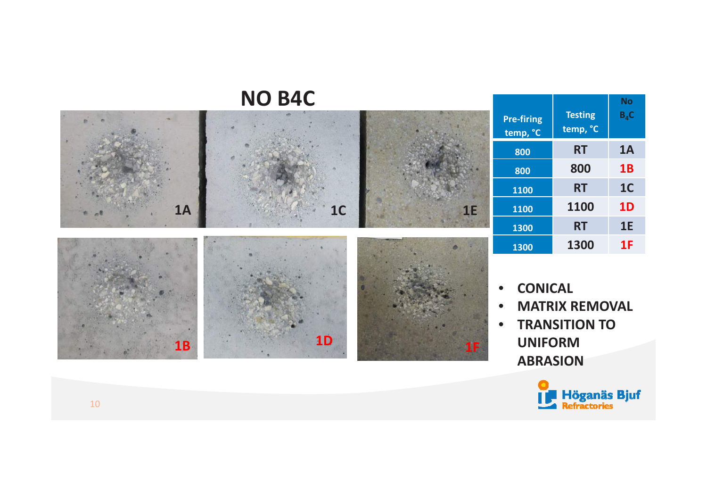#### **NO B4C**



| <b>Pre-firing</b><br>temp, °C | <b>Testing</b><br>temp, °C | No<br>$B_4C$   |
|-------------------------------|----------------------------|----------------|
| 800                           | <b>RT</b>                  | 1A             |
| 800                           | 800                        | <b>1B</b>      |
| 1100                          | <b>RT</b>                  | 1 <sub>C</sub> |
| 1100                          | 1100                       | 1D             |
| 1300                          | <b>RT</b>                  | <b>1E</b>      |
| 1300                          | 1300                       | 1F             |

- •**CONICAL**
- •**MATRIX REMOVAL**
- $\bullet$  **TRANSITION TO UNIFORM ABRASION**

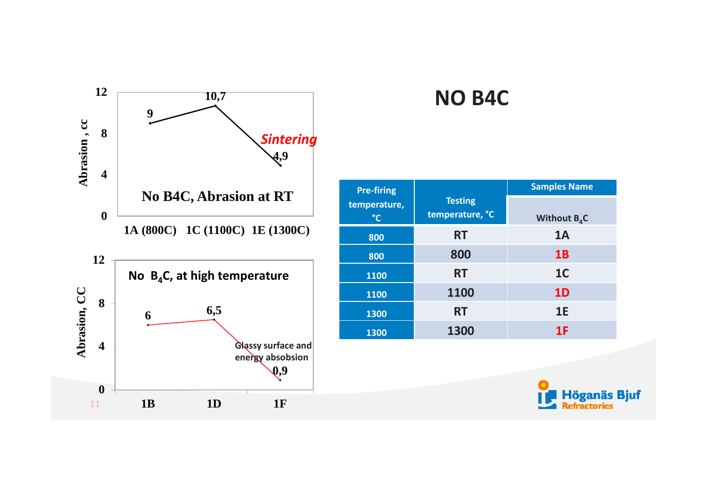

#### **NO B4C**

| <b>Pre-firing</b>               |                                   | <b>Samples Name</b> |  |
|---------------------------------|-----------------------------------|---------------------|--|
| temperature,<br>$\rm ^{\circ}C$ | <b>Testing</b><br>temperature, °C | Without $B_4C$      |  |
| 800                             | <b>RT</b>                         | 1A                  |  |
| 800                             | 800                               | 1B                  |  |
| 1100                            | <b>RT</b>                         | 1 <sub>C</sub>      |  |
| 1100                            | 1100                              | <b>1D</b>           |  |
| 1300                            | <b>RT</b>                         | 1E                  |  |
| 1300                            | 1300                              | 1F                  |  |

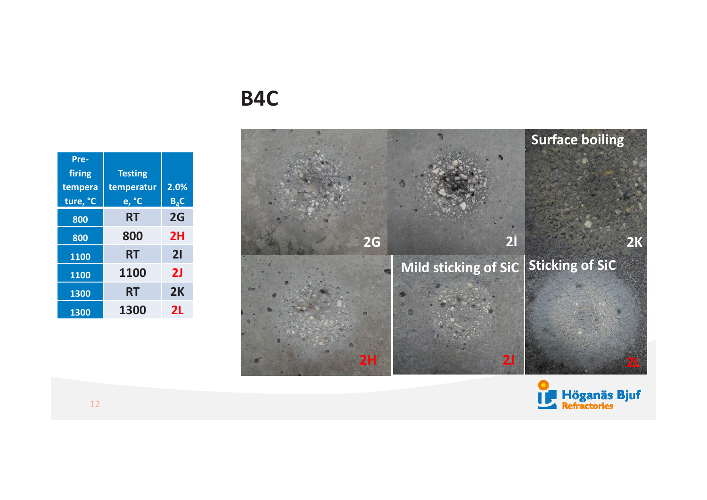### **B4C**





| temperatur | 2.0%           |
|------------|----------------|
| e, °C      | $B_{4}C$       |
| RT         | 2G             |
| 800        | 2H             |
| <b>RT</b>  | 21             |
| 1100       | 2J             |
| <b>RT</b>  | 2K             |
| 1300       | 2L             |
|            | <b>Testing</b> |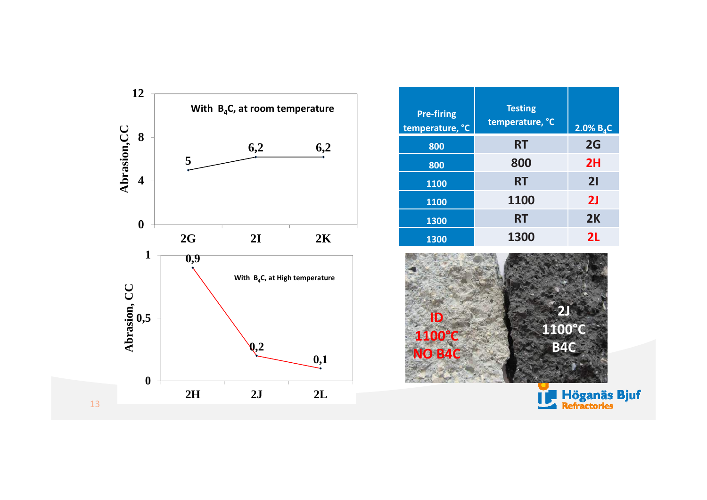

| <b>Pre-firing</b><br>temperature, °C | <b>Testing</b><br>temperature, °C | $2.0\%$ B <sub>4</sub> C |
|--------------------------------------|-----------------------------------|--------------------------|
| 800                                  | <b>RT</b>                         | 2G                       |
| 800                                  | 800                               | 2H                       |
| 1100                                 | <b>RT</b>                         | 21                       |
| 1100                                 | 1100                              | 2 <sub>J</sub>           |
| 1300                                 | <b>RT</b>                         | 2K                       |
| 1300                                 | 1300                              | 2L                       |



**Höganäs Bjuf**<br>4 Refractories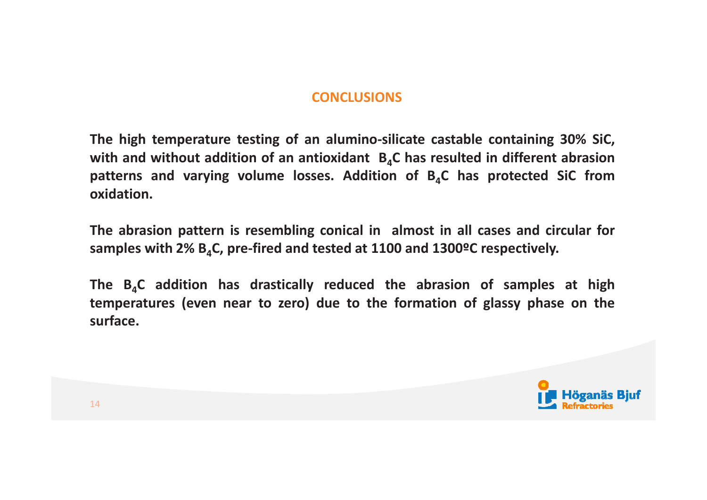#### **CONCLUSIONS**

The high temperature testing of an alumino-silicate castable containing 30% SiC, with and without addition of an antioxidant  $B_4C$  has resulted in different abrasion patterns and varying volume losses. Addition of  $B_4C$  has protected SiC from **oxidation.**

The abrasion pattern is resembling conical in almost in all cases and circular for samples with 2%  $B_4C$ , pre-fired and tested at 1100 and 1300°C respectively.

The  $B_4C$  addition has drastically reduced the abrasion of samples at high temperatures (even near to zero) due to the formation of glassy phase on the **surface.**

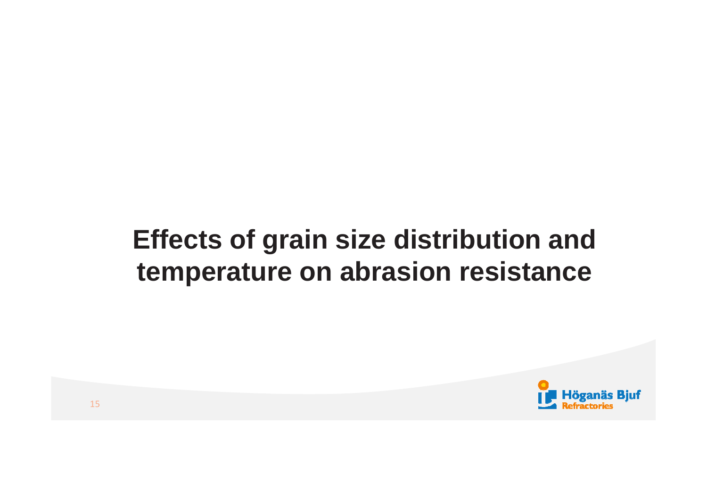# **Effects of grain size distribution and temperature on abrasion resistance**

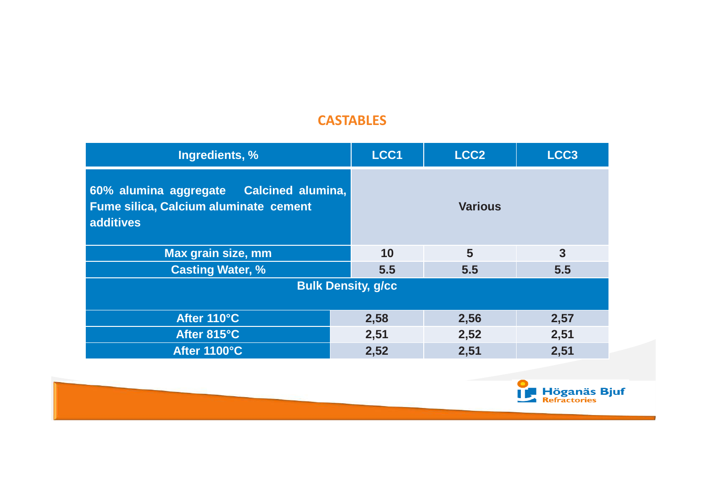#### **CASTABLES**

| Ingredients, %                                                                                        | LCC1 | LCC <sub>2</sub> | LCC <sub>3</sub> |
|-------------------------------------------------------------------------------------------------------|------|------------------|------------------|
| 60% alumina aggregate  Calcined alumina,<br><b>Fume silica, Calcium aluminate cement</b><br>additives |      | <b>Various</b>   |                  |
| Max grain size, mm                                                                                    | 10   | 5                | 3                |
| <b>Casting Water, %</b>                                                                               | 5.5  | 5.5              | 5.5              |
| <b>Bulk Density, g/cc</b>                                                                             |      |                  |                  |
|                                                                                                       |      |                  |                  |
| After 110°C                                                                                           | 2,58 | 2,56             | 2,57             |
| After 815°C                                                                                           | 2,51 | 2,52             | 2,51             |
| After 1100°C                                                                                          | 2,52 | 2,51             | 2,51             |

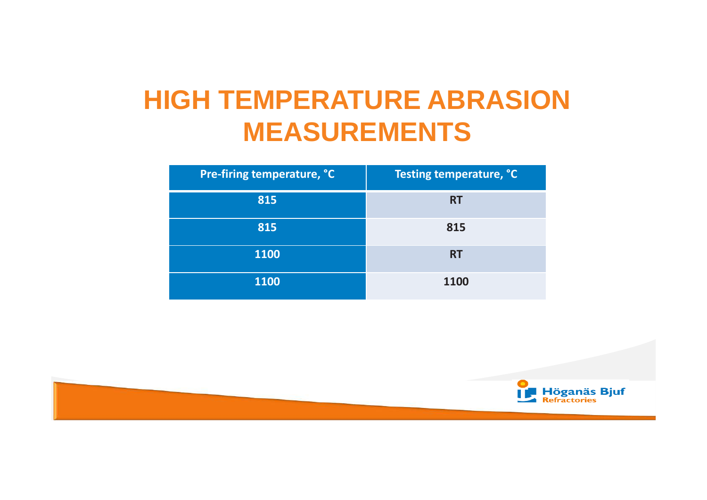# **HIGH TEMPERATURE ABRASION MEASUREMENTS**

| Pre-firing temperature, °C | Testing temperature, °C |
|----------------------------|-------------------------|
| 815                        | <b>RT</b>               |
| 815                        | 815                     |
| 1100                       | <b>RT</b>               |
| 1100                       | 1100                    |

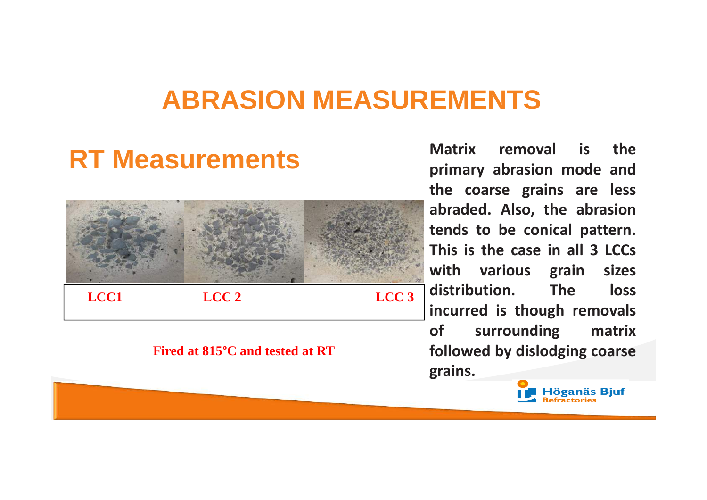## **ABRASION MEASUREMENTS**

# **RT Measurements**



#### **Fired at 815°C and tested at RT**

**Matrix removal is the primary abrasion mode and the coarse grains are less abraded. Also, the abrasion tends to be conical pattern. This is the case in all <sup>3</sup> LCCs with various grain sizes**<br> **distribution.** The loss  $\mathbf{distribution}$ . **incurred** is though removals<br>of surrounding matrix **surrounding followed by dislodging coarse grains.**

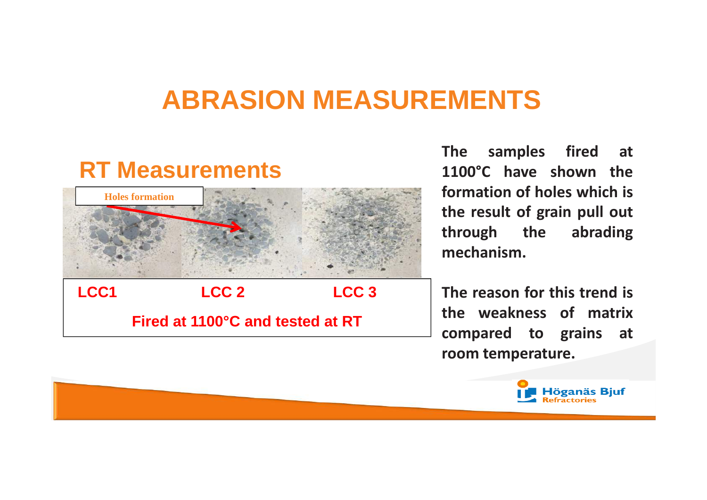## **ABRASION MEASUREMENTS**

# **RT Measurements**



**Fired at 1100°C and tested at RT**

**The samples fired at 1100°C have shown the formation of holes which is the result of grain pull out through the abrading through the mechanism.**

**The reason for this trend is the weakness of matrix compared to grains at room temperature.**

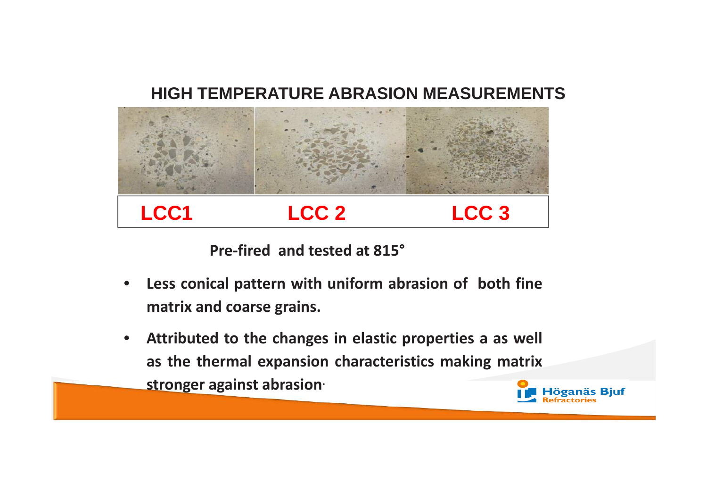#### **HIGH TEMPERATURE ABRASION MEASUREMENTS**



**Pre-fired and tested at 815°**

- • **Less conical pattern with uniform abrasion of both fine matrix and coarse grains.**
- **Attributed to the changes in elastic properties <sup>a</sup> as well**  $\bullet$ **as the thermal expansion characteristics making matrix stronger against abrasion.Höganäs Bjuf**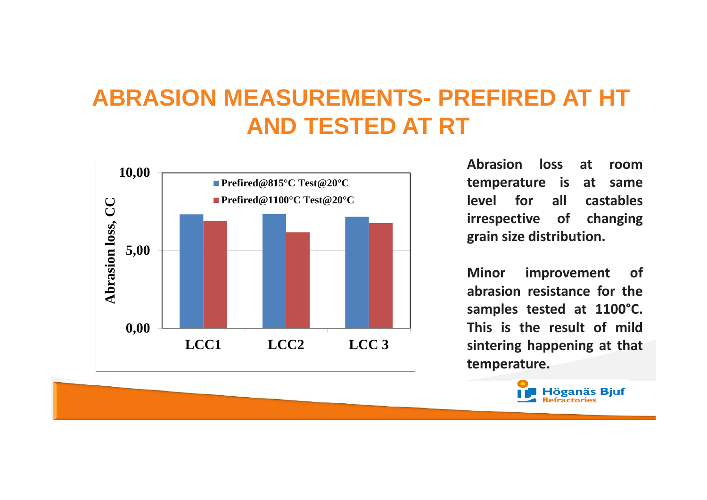## **ABRASION MEASUREMENTS- PREFIRED AT HT AND TESTED AT RT**



**Abrasion loss at room**at same **temperature** is at same<br>**level** for all castables **level for irrespective of changing grain size distribution.**

**Minor improvement of abrasion resistance for the samples tested at 1100°C. This is the result of mild sintering happening at that temperature.**

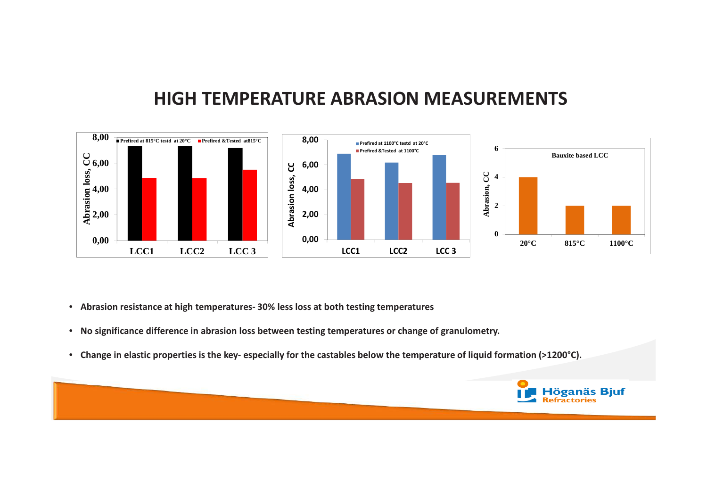#### **HIGH TEMPERATURE ABRASION MEASUREMENTS**



- Abrasion resistance at high temperatures- 30% less loss at both testing temperatures
- No significance difference in abrasion loss between testing temperatures or change of granulometry. •
- Change in elastic properties is the key- especially for the castables below the temperature of liquid formation (>1200°C).

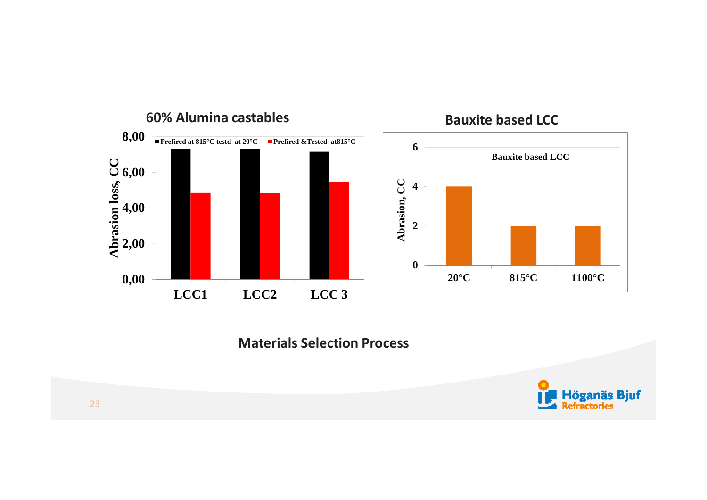





#### **Materials Selection Process**